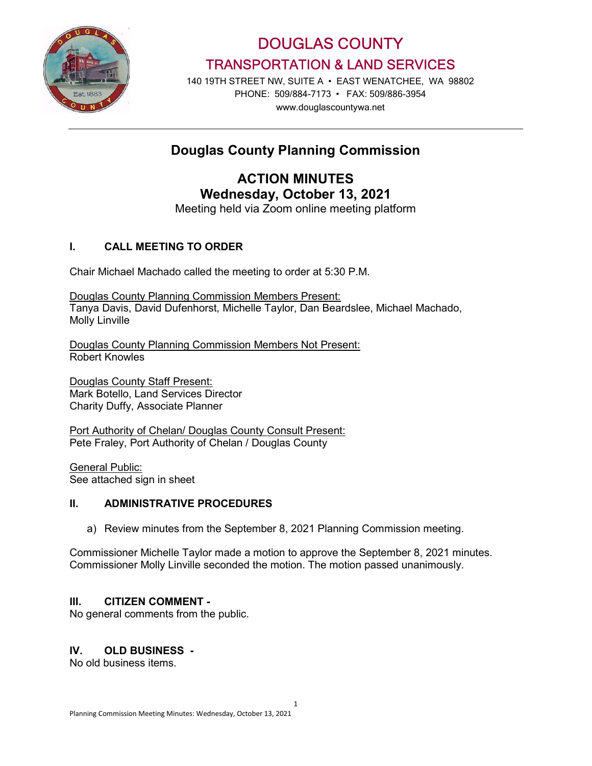

DOUGLAS COUNTY TRANSPORTATION & LAND SERVICES

140 19TH STREET NW, SUITE A • EAST WENATCHEE, WA 98802 PHONE: 509/884-7173 • FAX: 509/886-3954 www.douglascountywa.net

# Douglas County Planning Commission

ACTION MINUTES Wednesday, October 13, 2021

Meeting held via Zoom online meeting platform

## I. CALL MEETING TO ORDER

Chair Michael Machado called the meeting to order at 5:30 P.M.

Douglas County Planning Commission Members Present: Tanya Davis, David Dufenhorst, Michelle Taylor, Dan Beardslee, Michael Machado, Molly Linville

Douglas County Planning Commission Members Not Present: Robert Knowles

Douglas County Staff Present: Mark Botello, Land Services Director Charity Duffy, Associate Planner

Port Authority of Chelan/ Douglas County Consult Present: Pete Fraley, Port Authority of Chelan / Douglas County

General Public: See attached sign in sheet

#### II. ADMINISTRATIVE PROCEDURES

a) Review minutes from the September 8, 2021 Planning Commission meeting.

Commissioner Michelle Taylor made a motion to approve the September 8, 2021 minutes. Commissioner Molly Linville seconded the motion. The motion passed unanimously.

## III. CITIZEN COMMENT -

No general comments from the public.

#### IV. OLD BUSINESS -

No old business items.